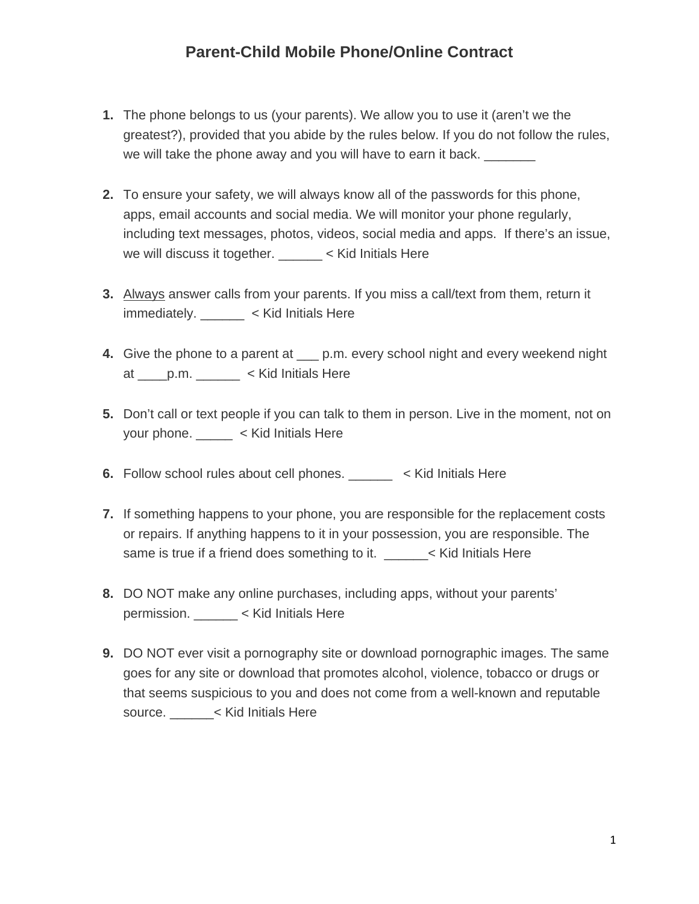## **Parent-Child Mobile Phone/Online Contract**

- **1.** The phone belongs to us (your parents). We allow you to use it (aren't we the greatest?), provided that you abide by the rules below. If you do not follow the rules, we will take the phone away and you will have to earn it back.
- **2.** To ensure your safety, we will always know all of the passwords for this phone, apps, email accounts and social media. We will monitor your phone regularly, including text messages, photos, videos, social media and apps. If there's an issue, we will discuss it together. \_\_\_\_\_\_ < Kid Initials Here
- **3.** Always answer calls from your parents. If you miss a call/text from them, return it immediately. \_\_\_\_\_\_ < Kid Initials Here
- **4.** Give the phone to a parent at \_\_\_ p.m. every school night and every weekend night at \_\_\_\_p.m. \_\_\_\_\_\_ < Kid Initials Here
- **5.** Don't call or text people if you can talk to them in person. Live in the moment, not on your phone. \_\_\_\_\_ < Kid Initials Here
- **6.** Follow school rules about cell phones. \_\_\_\_\_\_ < Kid Initials Here
- **7.** If something happens to your phone, you are responsible for the replacement costs or repairs. If anything happens to it in your possession, you are responsible. The same is true if a friend does something to it. \_\_\_\_\_\_\_\_< Kid Initials Here
- **8.** DO NOT make any online purchases, including apps, without your parents' permission. \_\_\_\_\_\_ < Kid Initials Here
- **9.** DO NOT ever visit a pornography site or download pornographic images. The same goes for any site or download that promotes alcohol, violence, tobacco or drugs or that seems suspicious to you and does not come from a well-known and reputable source. \_\_\_\_\_\_< Kid Initials Here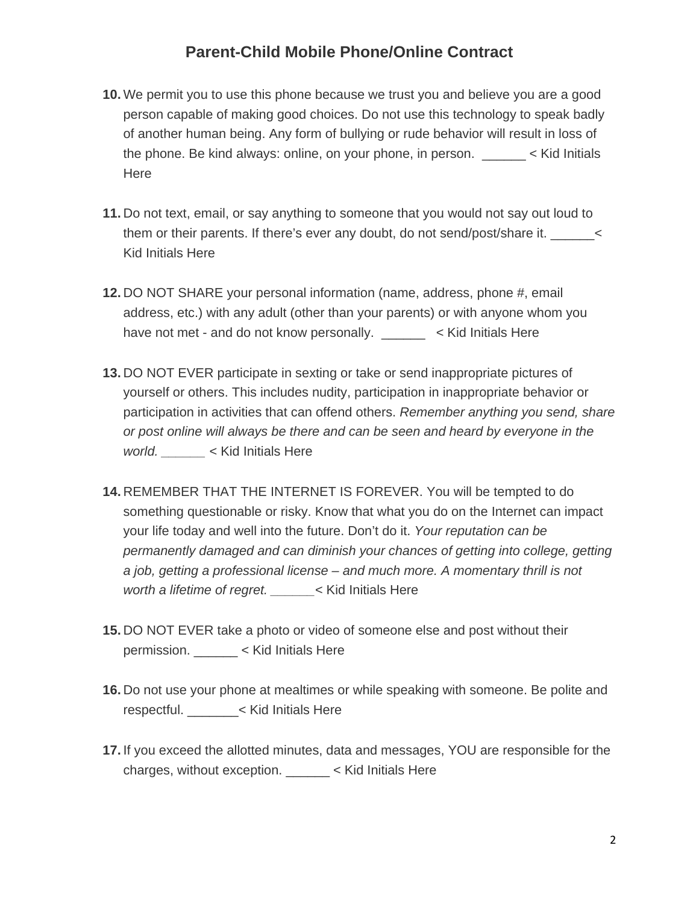## **Parent-Child Mobile Phone/Online Contract**

- **10.** We permit you to use this phone because we trust you and believe you are a good person capable of making good choices. Do not use this technology to speak badly of another human being. Any form of bullying or rude behavior will result in loss of the phone. Be kind always: online, on your phone, in person. \_\_\_\_\_\_ < Kid Initials Here
- **11.** Do not text, email, or say anything to someone that you would not say out loud to them or their parents. If there's ever any doubt, do not send/post/share it. \_\_\_\_\_\_\_\_\_ Kid Initials Here
- **12.** DO NOT SHARE your personal information (name, address, phone #, email address, etc.) with any adult (other than your parents) or with anyone whom you have not met - and do not know personally. \_\_\_\_\_\_ < Kid Initials Here
- **13.** DO NOT EVER participate in sexting or take or send inappropriate pictures of yourself or others. This includes nudity, participation in inappropriate behavior or participation in activities that can offend others. *Remember anything you send, share or post online will always be there and can be seen and heard by everyone in the world. \_\_\_\_\_\_* < Kid Initials Here
- **14.** REMEMBER THAT THE INTERNET IS FOREVER. You will be tempted to do something questionable or risky. Know that what you do on the Internet can impact your life today and well into the future. Don't do it. *Your reputation can be permanently damaged and can diminish your chances of getting into college, getting a job, getting a professional license – and much more. A momentary thrill is not worth a lifetime of regret. \_\_\_\_\_\_*< Kid Initials Here
- **15.** DO NOT EVER take a photo or video of someone else and post without their permission. \_\_\_\_\_\_ < Kid Initials Here
- **16.** Do not use your phone at mealtimes or while speaking with someone. Be polite and respectful. \_\_\_\_\_\_\_< Kid Initials Here
- **17.** If you exceed the allotted minutes, data and messages, YOU are responsible for the charges, without exception. \_\_\_\_\_\_ < Kid Initials Here